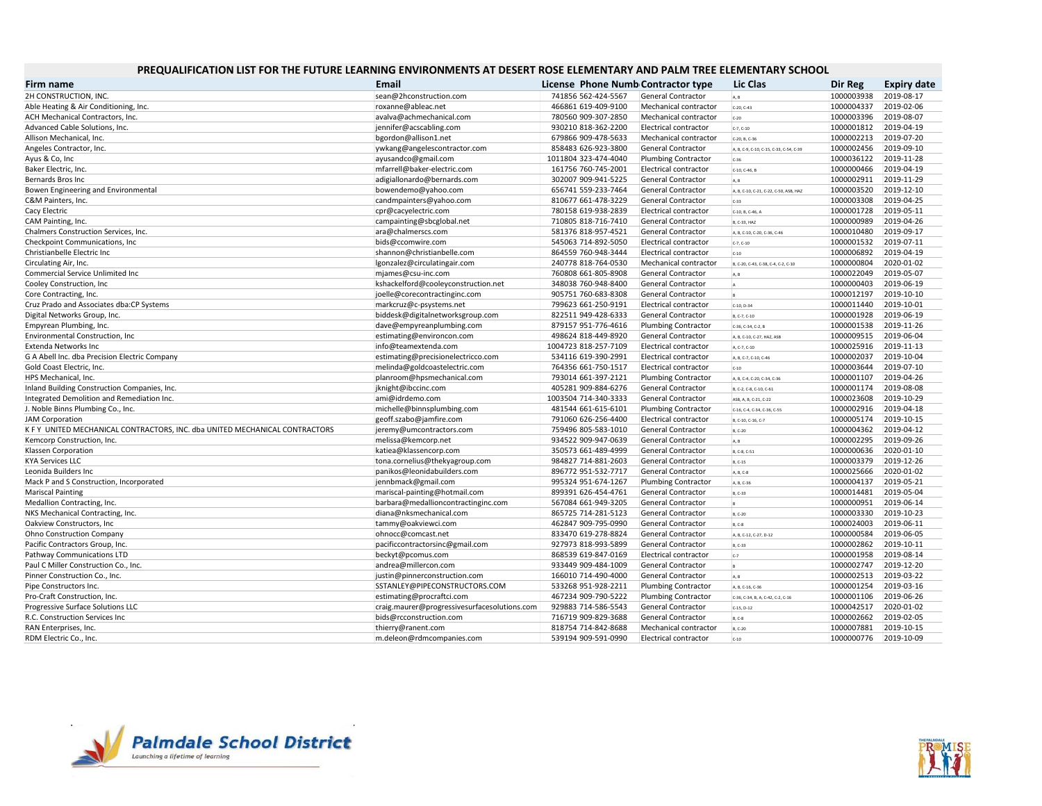## PREQUALIFICATION LIST FOR THE FUTURE LEARNING ENVIRONMENTS AT DESERT ROSE ELEMENTARY AND PALM TREE ELEMENTARY SCHOOL

| Firm name                                                                   | Email                                        | License Phone Numb Contractor type |                            | <b>Lic Clas</b>                         | Dir Reg    | Expiry date |
|-----------------------------------------------------------------------------|----------------------------------------------|------------------------------------|----------------------------|-----------------------------------------|------------|-------------|
| 2H CONSTRUCTION, INC.                                                       | sean@2hconstruction.com                      | 741856 562-424-5567                | <b>General Contractor</b>  | AR                                      | 1000003938 | 2019-08-17  |
| Able Heating & Air Conditioning, Inc.                                       | roxanne@ableac.net                           | 466861 619-409-9100                | Mechanical contractor      | $C-20, C-43$                            | 1000004337 | 2019-02-06  |
| ACH Mechanical Contractors, Inc.                                            | avalva@achmechanical.com                     | 780560 909-307-2850                | Mechanical contractor      | $C-20$                                  | 1000003396 | 2019-08-07  |
| Advanced Cable Solutions, Inc.                                              | jennifer@acscabling.com                      | 930210 818-362-2200                | Electrical contractor      | $C-7, C-10$                             | 1000001812 | 2019-04-19  |
| Allison Mechanical, Inc.                                                    | bgordon@allison1.net                         | 679866 909-478-5633                | Mechanical contractor      | C-20, B, C-36                           | 1000002213 | 2019-07-20  |
| Angeles Contractor, Inc.                                                    | ywkang@angelescontractor.com                 | 858483 626-923-3800                | <b>General Contractor</b>  | A, B, C-9, C-10, C-15, C-33, C-54, C-39 | 1000002456 | 2019-09-10  |
| Ayus & Co, Inc.                                                             | ayusandco@gmail.com                          | 1011804 323-474-4040               | <b>Plumbing Contractor</b> | $C-36$                                  | 1000036122 | 2019-11-28  |
| Baker Electric, Inc.                                                        | mfarrell@baker-electric.com                  | 161756 760-745-2001                | Electrical contractor      | C-10, C-46, B                           | 1000000466 | 2019-04-19  |
| Bernards Bros Inc                                                           | adigiallonardo@bernards.com                  | 302007 909-941-5225                | <b>General Contractor</b>  | A, B                                    | 1000002911 | 2019-11-29  |
| Bowen Engineering and Environmental                                         | bowendemo@yahoo.com                          | 656741 559-233-7464                | General Contractor         | A, B, C-10, C-21, C-22, C-50, ASB, HAZ  | 1000003520 | 2019-12-10  |
| C&M Painters, Inc.                                                          | candmpainters@yahoo.com                      | 810677 661-478-3229                | <b>General Contractor</b>  | $C-33$                                  | 1000003308 | 2019-04-25  |
| Cacy Electric                                                               | cpr@cacyelectric.com                         | 780158 619-938-2839                | Electrical contractor      | C-10, B, C-46, A                        | 1000001728 | 2019-05-11  |
| CAM Painting, Inc.                                                          | campainting@sbcglobal.net                    | 710805 818-716-7410                | <b>General Contractor</b>  | B, C-33, HAZ                            | 1000000989 | 2019-04-26  |
| Chalmers Construction Services, Inc.                                        | ara@chalmerscs.com                           | 581376 818-957-4521                | <b>General Contractor</b>  | A, B, C-10, C-20, C-36, C-46            | 1000010480 | 2019-09-17  |
| Checkpoint Communications, Inc.                                             | bids@ccomwire.com                            | 545063 714-892-5050                | Electrical contractor      | $C-7, C-10$                             | 1000001532 | 2019-07-11  |
| Christianbelle Electric Inc                                                 | shannon@christianbelle.com                   | 864559 760-948-3444                | Electrical contractor      | $C-10$                                  | 1000006892 | 2019-04-19  |
| Circulating Air, Inc.                                                       | lgonzalez@circulatingair.com                 | 240778 818-764-0530                | Mechanical contractor      | B, C-20, C-43, C-38, C-4, C-2, C-10     | 1000000804 | 2020-01-02  |
| Commercial Service Unlimited Inc                                            | mjames@csu-inc.com                           | 760808 661-805-8908                | General Contractor         | A, B                                    | 1000022049 | 2019-05-07  |
| Cooley Construction, Inc                                                    | kshackelford@cooleyconstruction.net          | 348038 760-948-8400                | <b>General Contractor</b>  |                                         | 1000000403 | 2019-06-19  |
| Core Contracting, Inc.                                                      | joelle@corecontractinginc.com                | 905751 760-683-8308                | <b>General Contractor</b>  |                                         | 1000012197 | 2019-10-10  |
| Cruz Prado and Associates dba:CP Systems                                    | markcruz@c-psystems.net                      | 799623 661-250-9191                | Electrical contractor      | C-10, D-34                              | 1000011440 | 2019-10-01  |
| Digital Networks Group, Inc.                                                | biddesk@digitalnetworksgroup.com             | 822511 949-428-6333                | General Contractor         | B, C-7, C-10                            | 1000001928 | 2019-06-19  |
| Empyrean Plumbing, Inc.                                                     | dave@empyreanplumbing.com                    | 879157 951-776-4616                | <b>Plumbing Contractor</b> | C-36, C-34, C-2, B                      | 1000001538 | 2019-11-26  |
| Environmental Construction, Inc                                             | estimating@environcon.com                    | 498624 818-449-8920                | <b>General Contractor</b>  | A, B, C-10, C-27, HAZ, ASB              | 1000009515 | 2019-06-04  |
| Extenda Networks Inc                                                        | info@teamextenda.com                         | 1004723 818-257-7109               | Electrical contractor      | A, C-7, C-10                            | 1000025916 | 2019-11-13  |
| G A Abell Inc. dba Precision Electric Company                               | estimating@precisionelectricco.com           | 534116 619-390-2991                | Electrical contractor      | A, B, C-7, C-10, C-46                   | 1000002037 | 2019-10-04  |
| Gold Coast Electric, Inc.                                                   | melinda@goldcoastelectric.com                | 764356 661-750-1517                | Electrical contractor      | $C-10$                                  | 1000003644 | 2019-07-10  |
| HPS Mechanical, Inc.                                                        | planroom@hpsmechanical.com                   | 793014 661-397-2121                | <b>Plumbing Contractor</b> | A, B, C-4, C-20, C-34, C-36             | 1000001107 | 2019-04-26  |
| Inland Building Construction Companies, Inc.                                | jknight@ibccinc.com                          | 405281 909-884-6276                | <b>General Contractor</b>  | B, C-2, C-8, C-10, C-61                 | 1000001174 | 2019-08-08  |
| Integrated Demolition and Remediation Inc.                                  | ami@idrdemo.com                              | 1003504 714-340-3333               | General Contractor         | ASB, A, B, C-21, C-22                   | 1000023608 | 2019-10-29  |
| J. Noble Binns Plumbing Co., Inc.                                           | michelle@binnsplumbing.com                   | 481544 661-615-6101                | <b>Plumbing Contractor</b> | C-16, C-4, C-34, C-36, C-55             | 1000002916 | 2019-04-18  |
| <b>JAM Corporation</b>                                                      | geoff.szabo@jamfire.com                      | 791060 626-256-4400                | Electrical contractor      | B, C-10, C-16, C-7                      | 1000005174 | 2019-10-15  |
| K F Y UNITED MECHANICAL CONTRACTORS, INC. dba UNITED MECHANICAL CONTRACTORS | jeremy@umcontractors.com                     | 759496 805-583-1010                | <b>General Contractor</b>  | B, C-20                                 | 1000004362 | 2019-04-12  |
| Kemcorp Construction, Inc.                                                  | melissa@kemcorp.net                          | 934522 909-947-0639                | <b>General Contractor</b>  | A, B                                    | 1000002295 | 2019-09-26  |
| Klassen Corporation                                                         | katiea@klassencorp.com                       | 350573 661-489-4999                | <b>General Contractor</b>  | B, C-8, C-51                            | 1000000636 | 2020-01-10  |
| <b>KYA Services LLC</b>                                                     | tona.cornelius@thekyagroup.com               | 984827 714-881-2603                | General Contractor         | B, C-15                                 | 1000003379 | 2019-12-26  |
| Leonida Builders Inc                                                        | panikos@leonidabuilders.com                  | 896772 951-532-7717                | <b>General Contractor</b>  | A, B, C-8                               | 1000025666 | 2020-01-02  |
| Mack P and S Construction, Incorporated                                     | jennbmack@gmail.com                          | 995324 951-674-1267                | <b>Plumbing Contractor</b> | A, B, C-36                              | 1000004137 | 2019-05-21  |
| <b>Mariscal Painting</b>                                                    | mariscal-painting@hotmail.com                | 899391 626-454-4761                | <b>General Contractor</b>  | B, C-33                                 | 1000014481 | 2019-05-04  |
| Medallion Contracting, Inc.                                                 | barbara@medallioncontractinginc.com          | 567084 661-949-3205                | General Contractor         |                                         | 1000000951 | 2019-06-14  |
| NKS Mechanical Contracting, Inc.                                            | diana@nksmechanical.com                      | 865725 714-281-5123                | <b>General Contractor</b>  | B, C-20                                 | 1000003330 | 2019-10-23  |
| Oakview Constructors, Inc.                                                  | tammy@oakviewci.com                          | 462847 909-795-0990                | General Contractor         | <b>B</b> , C-8                          | 1000024003 | 2019-06-11  |
| Ohno Construction Company                                                   | ohnocc@comcast.net                           | 833470 619-278-8824                | <b>General Contractor</b>  | A, B, C-12, C-27, D-12                  | 1000000584 | 2019-06-05  |
| Pacific Contractors Group, Inc.                                             | pacificcontractorsinc@gmail.com              | 927973 818-993-5899                | General Contractor         | B. C-33                                 | 1000002862 | 2019-10-11  |
| Pathway Communications LTD                                                  | beckyt@pcomus.com                            | 868539 619-847-0169                | Electrical contractor      | $c-7$                                   | 1000001958 | 2019-08-14  |
| Paul C Miller Construction Co., Inc.                                        | andrea@millercon.com                         | 933449 909-484-1009                | General Contractor         |                                         | 1000002747 | 2019-12-20  |
| Pinner Construction Co., Inc.                                               | justin@pinnerconstruction.com                | 166010 714-490-4000                | General Contractor         | A, B                                    | 1000002513 | 2019-03-22  |
| Pipe Constructors Inc.                                                      | SSTANLEY@PIPECONSTRUCTORS.COM                | 533268 951-928-2211                | <b>Plumbing Contractor</b> | A, B, C-16, C-36                        | 1000001254 | 2019-03-16  |
| Pro-Craft Construction, Inc.                                                | estimating@procraftci.com                    | 467234 909-790-5222                | <b>Plumbing Contractor</b> | C-36, C-34, B, A, C-42, C-2, C-16       | 1000001106 | 2019-06-26  |
| Progressive Surface Solutions LLC                                           | craig.maurer@progressivesurfacesolutions.com | 929883 714-586-5543                | <b>General Contractor</b>  | C-15, D-12                              | 1000042517 | 2020-01-02  |
| R.C. Construction Services Inc                                              | bids@rcconstruction.com                      | 716719 909-829-3688                | <b>General Contractor</b>  | B, C-8                                  | 1000002662 | 2019-02-05  |
| RAN Enterprises, Inc.                                                       | thierry@ranent.com                           | 818754 714-842-8688                | Mechanical contractor      | B, C-20                                 | 1000007881 | 2019-10-15  |
| RDM Electric Co., Inc.                                                      | m.deleon@rdmcompanies.com                    | 539194 909-591-0990                | Electrical contractor      | $C-10$                                  | 1000000776 | 2019-10-09  |
|                                                                             |                                              |                                    |                            |                                         |            |             |